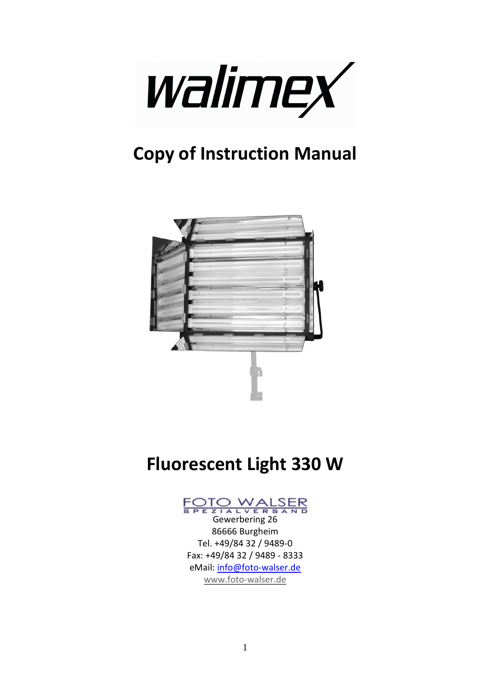

## **Copy of Instruction Manual**



## **Fluorescent Light 330 W**

# **TO WALSER**<br>Gewerbering 26

86666 Burgheim Tel. +49/84 32 / 9489-0 Fax: +49/84 32 / 9489 - 8333 eMail: info@foto-walser.de www.foto-walser.de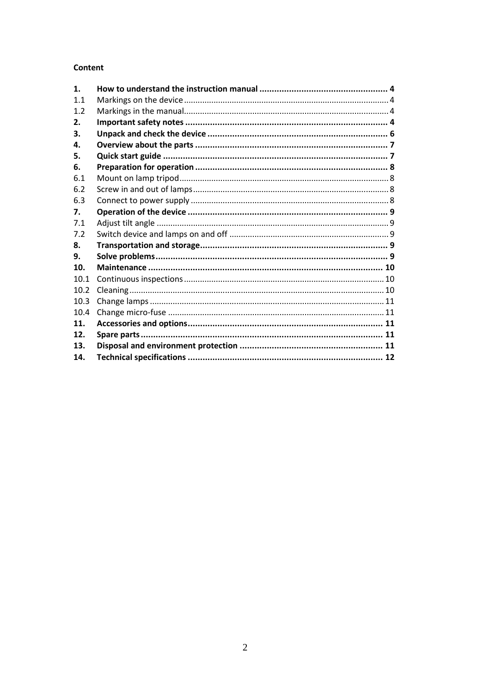#### **Content**

| 1.   |  |
|------|--|
| 1.1  |  |
| 1.2  |  |
| 2.   |  |
| 3.   |  |
| 4.   |  |
| 5.   |  |
| 6.   |  |
| 6.1  |  |
| 6.2  |  |
| 6.3  |  |
| 7.   |  |
| 7.1  |  |
| 7.2  |  |
| 8.   |  |
| 9.   |  |
| 10.  |  |
| 10.1 |  |
| 10.2 |  |
| 10.3 |  |
| 10.4 |  |
| 11.  |  |
| 12.  |  |
| 13.  |  |
| 14.  |  |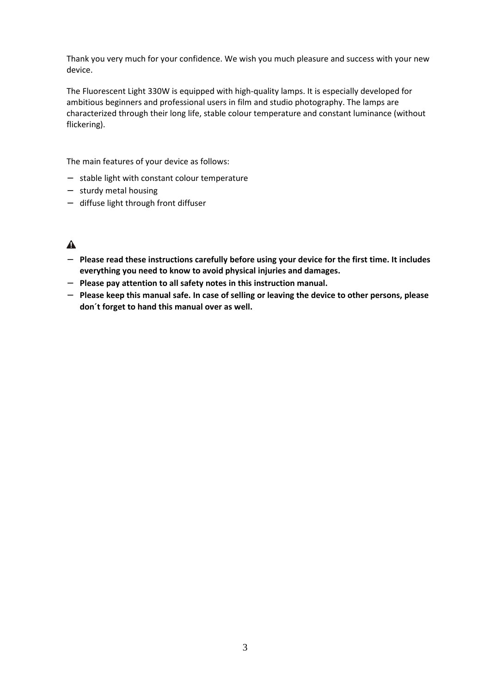Thank you very much for your confidence. We wish you much pleasure and success with your new device.

The Fluorescent Light 330W is equipped with high-quality lamps. It is especially developed for ambitious beginners and professional users in film and studio photography. The lamps are characterized through their long life, stable colour temperature and constant luminance (without flickering).

The main features of your device as follows:

- − stable light with constant colour temperature
- − sturdy metal housing
- − diffuse light through front diffuser

#### $\blacktriangle$

- − **Please read these instructions carefully before using your device for the first time. It includes everything you need to know to avoid physical injuries and damages.**
- − **Please pay attention to all safety notes in this instruction manual.**
- − **Please keep this manual safe. In case of selling or leaving the device to other persons, please don´t forget to hand this manual over as well.**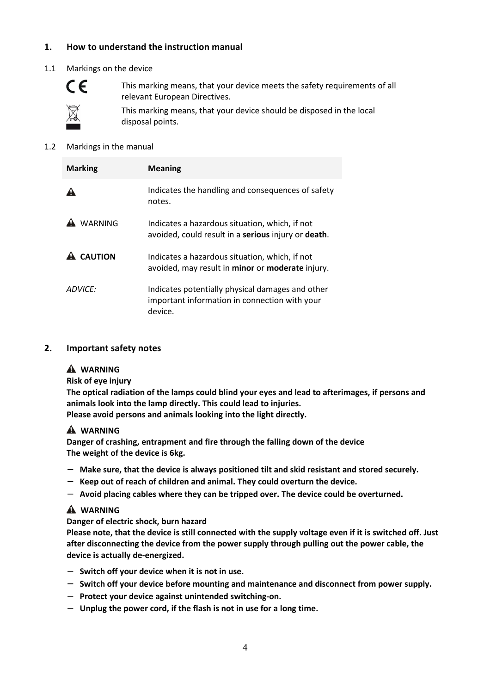#### **1. How to understand the instruction manual**

#### 1.1 Markings on the device



This marking means, that your device meets the safety requirements of all relevant European Directives.

This marking means, that your device should be disposed in the local disposal points.

#### 1.2 Markings in the manual

| <b>Marking</b>   | <b>Meaning</b>                                                                                               |
|------------------|--------------------------------------------------------------------------------------------------------------|
|                  | Indicates the handling and consequences of safety<br>notes.                                                  |
| <b>WARNING</b>   | Indicates a hazardous situation, which, if not<br>avoided, could result in a serious injury or death.        |
| <b>A</b> CAUTION | Indicates a hazardous situation, which, if not<br>avoided, may result in minor or moderate injury.           |
| ADVICF:          | Indicates potentially physical damages and other<br>important information in connection with your<br>device. |

#### **2. Important safety notes**

#### **WARNING**

**Risk of eye injury** 

**The optical radiation of the lamps could blind your eyes and lead to afterimages, if persons and animals look into the lamp directly. This could lead to injuries.** 

**Please avoid persons and animals looking into the light directly.** 

#### **WARNING**

**Danger of crashing, entrapment and fire through the falling down of the device The weight of the device is 6kg.** 

- − **Make sure, that the device is always positioned tilt and skid resistant and stored securely.**
- − **Keep out of reach of children and animal. They could overturn the device.**
- − **Avoid placing cables where they can be tripped over. The device could be overturned.**

#### **WARNING**

**Danger of electric shock, burn hazard** 

**Please note, that the device is still connected with the supply voltage even if it is switched off. Just after disconnecting the device from the power supply through pulling out the power cable, the device is actually de-energized.** 

- − **Switch off your device when it is not in use.**
- − **Switch off your device before mounting and maintenance and disconnect from power supply.**
- − **Protect your device against unintended switching-on.**
- − **Unplug the power cord, if the flash is not in use for a long time.**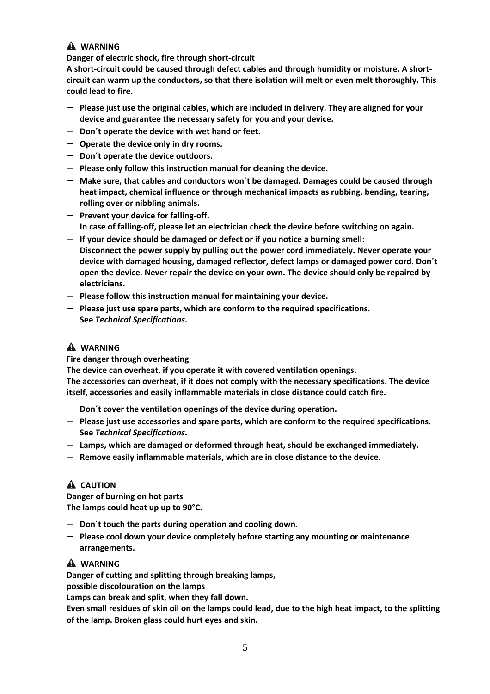#### **WARNING**

**Danger of electric shock, fire through short-circuit** 

**A short-circuit could be caused through defect cables and through humidity or moisture. A shortcircuit can warm up the conductors, so that there isolation will melt or even melt thoroughly. This could lead to fire.** 

- − **Please just use the original cables, which are included in delivery. They are aligned for your device and guarantee the necessary safety for you and your device.**
- − **Don´t operate the device with wet hand or feet.**
- − **Operate the device only in dry rooms.**
- − **Don´t operate the device outdoors.**
- − **Please only follow this instruction manual for cleaning the device.**
- − **Make sure, that cables and conductors won´t be damaged. Damages could be caused through heat impact, chemical influence or through mechanical impacts as rubbing, bending, tearing, rolling over or nibbling animals.**
- − **Prevent your device for falling-off. In case of falling-off, please let an electrician check the device before switching on again.**
- − **If your device should be damaged or defect or if you notice a burning smell: Disconnect the power supply by pulling out the power cord immediately. Never operate your device with damaged housing, damaged reflector, defect lamps or damaged power cord. Don´t open the device. Never repair the device on your own. The device should only be repaired by electricians.**
- − **Please follow this instruction manual for maintaining your device.**
- − **Please just use spare parts, which are conform to the required specifications. See** *Technical Specifications***.**

#### **WARNING**

#### **Fire danger through overheating**

**The device can overheat, if you operate it with covered ventilation openings.** 

**The accessories can overheat, if it does not comply with the necessary specifications. The device itself, accessories and easily inflammable materials in close distance could catch fire.** 

- − **Don´t cover the ventilation openings of the device during operation.**
- − **Please just use accessories and spare parts, which are conform to the required specifications. See** *Technical Specifications***.**
- − **Lamps, which are damaged or deformed through heat, should be exchanged immediately.**
- − **Remove easily inflammable materials, which are in close distance to the device.**

#### **A** CAUTION

**Danger of burning on hot parts The lamps could heat up up to 90°C.** 

- − **Don´t touch the parts during operation and cooling down.**
- − **Please cool down your device completely before starting any mounting or maintenance arrangements.**

#### **WARNING**

**Danger of cutting and splitting through breaking lamps,** 

**possible discolouration on the lamps** 

**Lamps can break and split, when they fall down.** 

**Even small residues of skin oil on the lamps could lead, due to the high heat impact, to the splitting of the lamp. Broken glass could hurt eyes and skin.**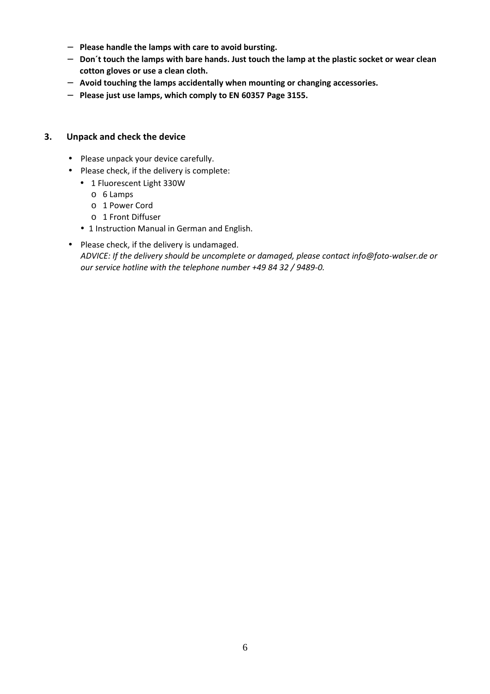- − **Please handle the lamps with care to avoid bursting.**
- − **Don´t touch the lamps with bare hands. Just touch the lamp at the plastic socket or wear clean cotton gloves or use a clean cloth.**
- − **Avoid touching the lamps accidentally when mounting or changing accessories.**
- − **Please just use lamps, which comply to EN 60357 Page 3155.**

#### **3. Unpack and check the device**

- Please unpack your device carefully.
- Please check, if the delivery is complete:
	- 1 Fluorescent Light 330W
		- o 6 Lamps
		- o 1 Power Cord
		- o 1 Front Diffuser
	- 1 Instruction Manual in German and English.
- Please check, if the delivery is undamaged. *ADVICE: If the delivery should be uncomplete or damaged, please contact info@foto-walser.de or our service hotline with the telephone number +49 84 32 / 9489-0.*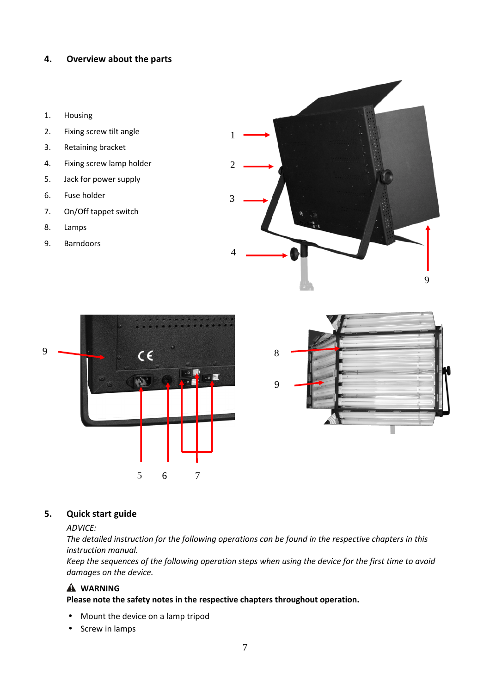#### **4. Overview about the parts**

- 1. Housing
- 2. Fixing screw tilt angle
- 3. Retaining bracket
- 4. Fixing screw lamp holder
- 5. Jack for power supply
- 6. Fuse holder
- 7. On/Off tappet switch
- 8. Lamps
- 9. Barndoors







#### **5. Quick start guide**

#### *ADVICE:*

*The detailed instruction for the following operations can be found in the respective chapters in this instruction manual.* 

*Keep the sequences of the following operation steps when using the device for the first time to avoid damages on the device.* 

#### **WARNING**

#### **Please note the safety notes in the respective chapters throughout operation.**

- Mount the device on a lamp tripod
- Screw in lamps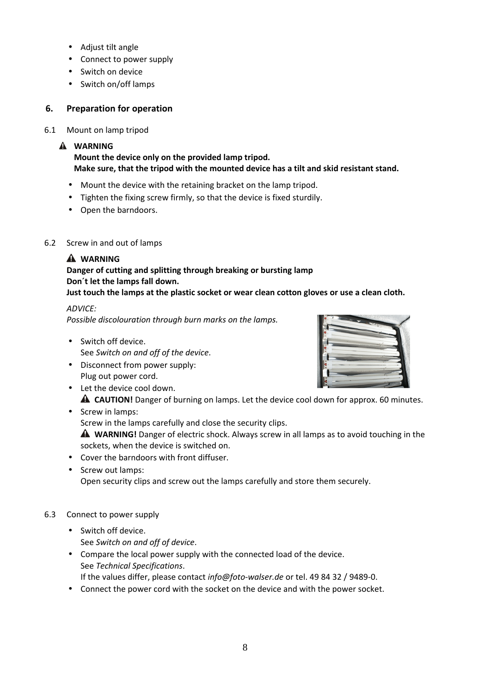- Adjust tilt angle
- Connect to power supply
- Switch on device
- Switch on/off lamps

#### **6. Preparation for operation**

#### 6.1 Mount on lamp tripod

#### **WARNING**

**Mount the device only on the provided lamp tripod. Make sure, that the tripod with the mounted device has a tilt and skid resistant stand.** 

- Mount the device with the retaining bracket on the lamp tripod.
- Tighten the fixing screw firmly, so that the device is fixed sturdily.
- Open the barndoors.

#### 6.2 Screw in and out of lamps

#### **WARNING**

#### **Danger of cutting and splitting through breaking or bursting lamp Don´t let the lamps fall down.**

#### **Just touch the lamps at the plastic socket or wear clean cotton gloves or use a clean cloth.**

#### *ADVICE: Possible discolouration through burn marks on the lamps.*

- Switch off device. See *Switch on and off of the device*.
- Disconnect from power supply: Plug out power cord.
- Let the device cool down. **A CAUTION!** Danger of burning on lamps. Let the device cool down for approx. 60 minutes.
- Screw in lamps: Screw in the lamps carefully and close the security clips. **WARNING!** Danger of electric shock. Always screw in all lamps as to avoid touching in the sockets, when the device is switched on.
- Cover the barndoors with front diffuser.
- Screw out lamps: Open security clips and screw out the lamps carefully and store them securely.

#### 6.3 Connect to power supply

- Switch off device. See *Switch on and off of device*.
- Compare the local power supply with the connected load of the device. See *Technical Specifications*. If the values differ, please contact *info@foto-walser.de* or tel. 49 84 32 / 9489-0.
- Connect the power cord with the socket on the device and with the power socket.

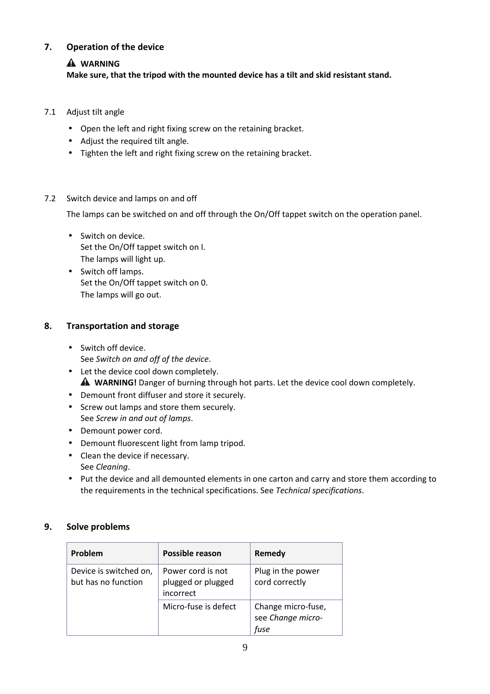#### **7. Operation of the device**

#### **WARNING**

#### **Make sure, that the tripod with the mounted device has a tilt and skid resistant stand.**

- 7.1 Adjust tilt angle
	- Open the left and right fixing screw on the retaining bracket.
	- Adjust the required tilt angle.
	- Tighten the left and right fixing screw on the retaining bracket.

#### 7.2 Switch device and lamps on and off

The lamps can be switched on and off through the On/Off tappet switch on the operation panel.

- Switch on device. Set the On/Off tappet switch on I. The lamps will light up.
- Switch off lamps. Set the On/Off tappet switch on 0. The lamps will go out.

#### **8. Transportation and storage**

- Switch off device. See *Switch on and off of the device*.
- Let the device cool down completely. **WARNING!** Danger of burning through hot parts. Let the device cool down completely.
- Demount front diffuser and store it securely.
- Screw out lamps and store them securely. See *Screw in and out of lamps*.
- Demount power cord.
- Demount fluorescent light from lamp tripod.
- Clean the device if necessary. See *Cleaning*.
- Put the device and all demounted elements in one carton and carry and store them according to the requirements in the technical specifications. See *Technical specifications*.

#### **9. Solve problems**

| Problem                                       | Possible reason                                      | Remedy                                          |
|-----------------------------------------------|------------------------------------------------------|-------------------------------------------------|
| Device is switched on,<br>but has no function | Power cord is not<br>plugged or plugged<br>incorrect | Plug in the power<br>cord correctly             |
|                                               | Micro-fuse is defect                                 | Change micro-fuse,<br>see Change micro-<br>fuse |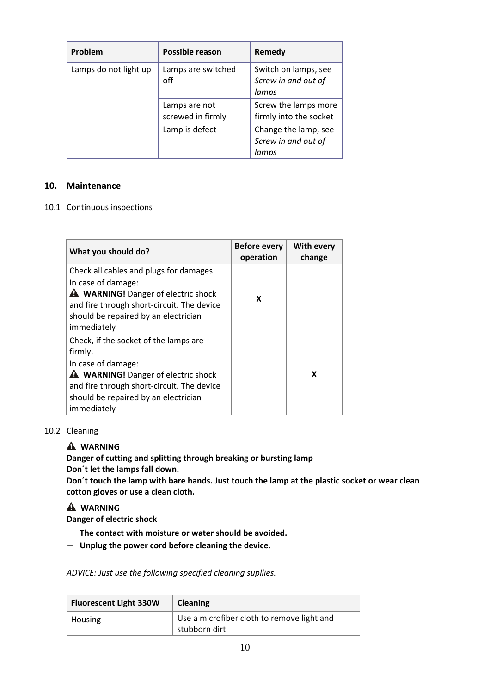| Problem               | Possible reason                    | Remedy                                               |
|-----------------------|------------------------------------|------------------------------------------------------|
| Lamps do not light up | Lamps are switched<br>off          | Switch on lamps, see<br>Screw in and out of<br>lamps |
|                       | Lamps are not<br>screwed in firmly | Screw the lamps more<br>firmly into the socket       |
|                       | Lamp is defect                     | Change the lamp, see<br>Screw in and out of<br>lamps |

#### **10. Maintenance**

10.1 Continuous inspections

| What you should do?                                                                                                                                                                                                       | <b>Before every</b><br>operation | <b>With every</b><br>change |
|---------------------------------------------------------------------------------------------------------------------------------------------------------------------------------------------------------------------------|----------------------------------|-----------------------------|
| Check all cables and plugs for damages<br>In case of damage:<br><b>A</b> WARNING! Danger of electric shock<br>and fire through short-circuit. The device<br>should be repaired by an electrician<br>immediately           | x                                |                             |
| Check, if the socket of the lamps are<br>firmly.<br>In case of damage:<br><b>A</b> WARNING! Danger of electric shock<br>and fire through short-circuit. The device<br>should be repaired by an electrician<br>immediately |                                  | X                           |

#### 10.2 Cleaning

#### **WARNING**

**Danger of cutting and splitting through breaking or bursting lamp Don´t let the lamps fall down.** 

**Don´t touch the lamp with bare hands. Just touch the lamp at the plastic socket or wear clean cotton gloves or use a clean cloth.** 

#### **WARNING**

- **Danger of electric shock**
- − **The contact with moisture or water should be avoided.**
- − **Unplug the power cord before cleaning the device.**

*ADVICE: Just use the following specified cleaning supllies.* 

| <b>Fluorescent Light 330W</b> | <b>Cleaning</b>                                             |
|-------------------------------|-------------------------------------------------------------|
| Housing                       | Use a microfiber cloth to remove light and<br>stubborn dirt |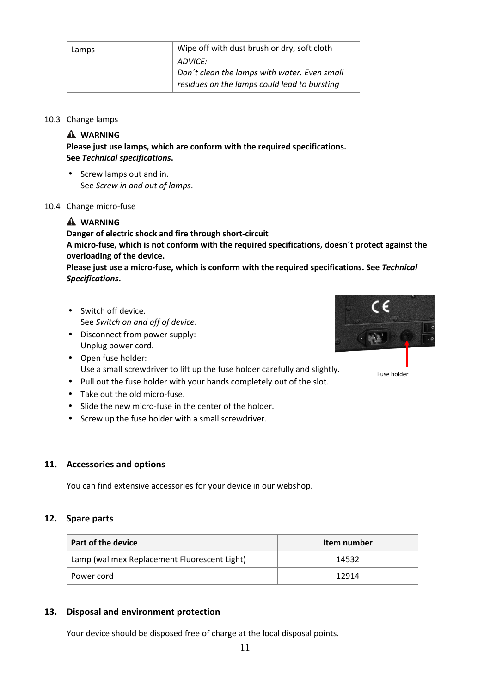| Lamps | Wipe off with dust brush or dry, soft cloth  |
|-------|----------------------------------------------|
|       | ADVICE:                                      |
|       | Don't clean the lamps with water. Even small |
|       | residues on the lamps could lead to bursting |
|       |                                              |

#### 10.3 Change lamps

#### **WARNING**

**Please just use lamps, which are conform with the required specifications. See** *Technical specifications***.** 

• Screw lamps out and in. See *Screw in and out of lamps*.

#### 10.4 Change micro-fuse

#### **WARNING**

**Danger of electric shock and fire through short-circuit A micro-fuse, which is not conform with the required specifications, doesn´t protect against the overloading of the device.** 

**Please just use a micro-fuse, which is conform with the required specifications. See** *Technical Specifications***.** 

- Switch off device. See *Switch on and off of device*.
- Disconnect from power supply: Unplug power cord.
- Open fuse holder: Use a small screwdriver to lift up the fuse holder carefully and slightly.
- Pull out the fuse holder with your hands completely out of the slot.
- Take out the old micro-fuse.
- Slide the new micro-fuse in the center of the holder.
- Screw up the fuse holder with a small screwdriver.

#### **11. Accessories and options**

You can find extensive accessories for your device in our webshop.

#### **12. Spare parts**

| Part of the device                           | Item number |
|----------------------------------------------|-------------|
| Lamp (walimex Replacement Fluorescent Light) | 14532       |
| Power cord                                   | 12914       |

#### **13. Disposal and environment protection**

Your device should be disposed free of charge at the local disposal points.



Fuse holder